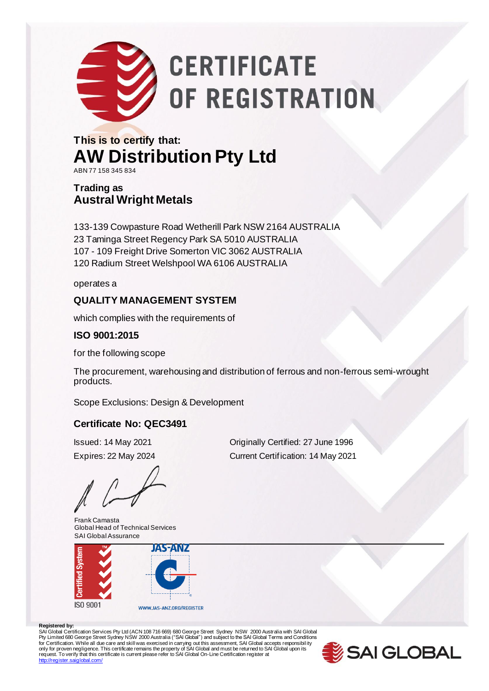

# **CERTIFICATE** OF REGISTRATION

#### **This is to certify that: AW Distribution Pty Ltd** ABN 77 158 345 834

#### **Trading as Austral Wright Metals**

133-139 Cowpasture Road Wetherill Park NSW 2164 AUSTRALIA 23 Taminga Street Regency Park SA 5010 AUSTRALIA 107 - 109 Freight Drive Somerton VIC 3062 AUSTRALIA 120 Radium Street Welshpool WA 6106 AUSTRALIA

operates a

#### **QUALITY MANAGEMENT SYSTEM**

which complies with the requirements of

#### **ISO 9001:2015**

for the following scope

The procurement, warehousing and distribution of ferrous and non-ferrous semi-wrought products.

Scope Exclusions: Design & Development

#### **Certificate No: QEC3491**

Frank Camasta Global Head of Technical Services SAI Global Assurance



Issued: 14 May 2021 Originally Certified: 27 June 1996 Expires: 22 May 2024 Current Certification: 14 May 2021

#### **Registered by:**

SAI Global Certification Services Pty Ltd (ACN 108 716 669) 680 George Street Sydney NSW 2000 Australia with SAI Global<br>Pty Limited 680 George Street Sydney NSW 2000 Australia ("SAI Global") and subject to the SAI Global T <http://register.saiglobal.com/>